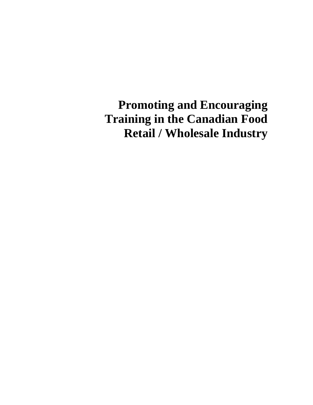**Promoting and Encouraging Training in the Canadian Food Retail / Wholesale Industry**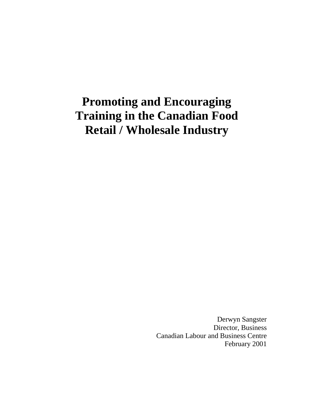# **Promoting and Encouraging Training in the Canadian Food Retail / Wholesale Industry**

Derwyn Sangster Director, Business Canadian Labour and Business Centre February 2001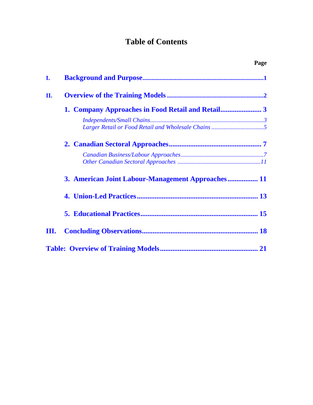# **Table of Contents**

|    |                                                   | Page |
|----|---------------------------------------------------|------|
| I. |                                                   |      |
| П. |                                                   |      |
|    |                                                   |      |
|    |                                                   |      |
|    |                                                   |      |
|    |                                                   |      |
|    | 3. American Joint Labour-Management Approaches 11 |      |
|    |                                                   |      |
|    |                                                   |      |
| Ш. |                                                   |      |
|    |                                                   |      |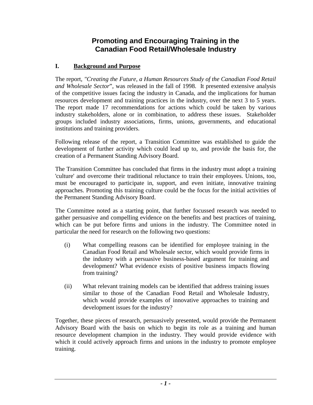# **Promoting and Encouraging Training in the Canadian Food Retail/Wholesale Industry**

## <span id="page-4-0"></span>**I. Background and Purpose**

The report, *"Creating the Future, a Human Resources Study of the Canadian Food Retail and Wholesale Sector*", was released in the fall of 1998. It presented extensive analysis of the competitive issues facing the industry in Canada, and the implications for human resources development and training practices in the industry, over the next 3 to 5 years. The report made 17 recommendations for actions which could be taken by various industry stakeholders, alone or in combination, to address these issues. Stakeholder groups included industry associations, firms, unions, governments, and educational institutions and training providers.

 Following release of the report, a Transition Committee was established to guide the development of further activity which could lead up to, and provide the basis for, the creation of a Permanent Standing Advisory Board.

The Transition Committee has concluded that firms in the industry must adopt a training 'culture' and overcome their traditional reluctance to train their employees. Unions, too, must be encouraged to participate in, support, and even initiate, innovative training approaches. Promoting this training culture could be the focus for the initial activities of the Permanent Standing Advisory Board.

 gather persuasive and compelling evidence on the benefits and best practices of training, The Committee noted as a starting point, that further focussed research was needed to which can be put before firms and unions in the industry. The Committee noted in particular the need for research on the following two questions:

- (i) What compelling reasons can be identified for employee training in the development? What evidence exists of positive business impacts flowing Canadian Food Retail and Wholesale sector, which would provide firms in the industry with a persuasive business-based argument for training and from training?
- (ii) What relevant training models can be identified that address training issues similar to those of the Canadian Food Retail and Wholesale Industry, which would provide examples of innovative approaches to training and development issues for the industry?

Together, these pieces of research, persuasively presented, would provide the Permanent Advisory Board with the basis on which to begin its role as a training and human resource development champion in the industry. They would provide evidence with which it could actively approach firms and unions in the industry to promote employee training.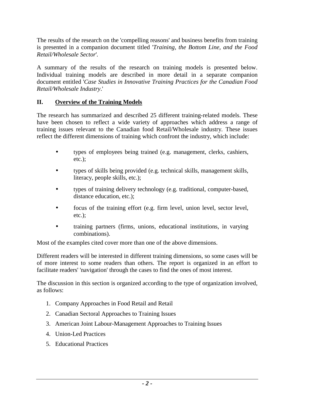<span id="page-5-0"></span> The results of the research on the 'compelling reasons' and business benefits from training is presented in a companion document titled '*Training, the Bottom Line, and the Food Retail/Wholesale Sector*'*.* 

 *Retail/Wholesale Industry*.' A summary of the results of the research on training models is presented below. Individual training models are described in more detail in a separate companion document entitled '*Case Studies in Innovative Training Practices for the Canadian Food* 

#### **II. Overview of the Training Models**

The research has summarized and described 25 different training-related models. These have been chosen to reflect a wide variety of approaches which address a range of training issues relevant to the Canadian food Retail/Wholesale industry. These issues reflect the different dimensions of training which confront the industry, which include:

- types of employees being trained (e.g. management, clerks, cashiers, etc.);
- types of skills being provided (e.g. technical skills, management skills, literacy, people skills, etc.);
- types of training delivery technology (e.g. traditional, computer-based, distance education, etc.);
- focus of the training effort (e.g. firm level, union level, sector level, etc.);
- training partners (firms, unions, educational institutions, in varying combinations).

Most of the examples cited cover more than one of the above dimensions.

 of more interest to some readers than others. The report is organized in an effort to Different readers will be interested in different training dimensions, so some cases will be facilitate readers' 'navigation' through the cases to find the ones of most interest.

The discussion in this section is organized according to the type of organization involved, as follows:

- 1. Company Approaches in Food Retail and Retail
- 2. Canadian Sectoral Approaches to Training Issues
- 3. American Joint Labour-Management Approaches to Training Issues
- 4. Union-Led Practices
- 5. Educational Practices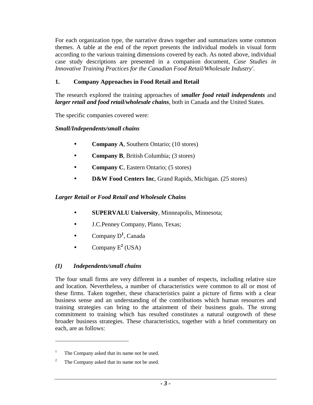<span id="page-6-0"></span>For each organization type, the narrative draws together and summarizes some common themes. A table at the end of the report presents the individual models in visual form according to the various training dimensions covered by each. As noted above, individual case study descriptions are presented in a companion document, *Case Studies in Innovative Training Practices for the Canadian Food Retail/Wholesale Industry'*.

## **1. Company Approaches in Food Retail and Retail**

The research explored the training approaches of *smaller food retail independents* and *larger retail and food retail/wholesale chains,* both in Canada and the United States.

The specific companies covered were:

#### *Small/Independents/small chains*

- **Company A**, Southern Ontario; (10 stores)
- **Company B**, British Columbia; (3 stores)
- **Company C**, Eastern Ontario; (5 stores)
- **D&W Food Centers Inc**, Grand Rapids, Michigan. (25 stores)

#### *Larger Retail or Food Retail and Wholesale Chains*

- **SUPERVALU University**, Minneapolis, Minnesota;
- J.C.Penney Company, Plano, Texas;
- Company D**<sup>1</sup>** , Canada
- Company  $E^2$  (USA)

#### *(1) Independents/small chains*

 The four small firms are very different in a number of respects, including relative size training strategies can bring to the attainment of their business goals. The strong and location. Nevertheless, a number of characteristics were common to all or most of these firms. Taken together, these characteristics paint a picture of firms with a clear business sense and an understanding of the contributions which human resources and commitment to training which has resulted constitutes a natural outgrowth of these broader business strategies. These characteristics, together with a brief commentary on each, are as follows:

1

<sup>1</sup>  The Company asked that its name not be used.

<sup>2</sup>  The Company asked that its name not be used.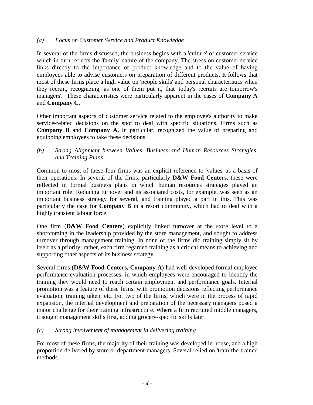#### *(a) Focus on Customer Service and Product Knowledge*

 which in turn reflects the 'family' nature of the company. The stress on customer service In several of the firms discussed, the business begins with a 'culture' of customer service links directly to the importance of product knowledge and to the value of having employees able to advise customers on preparation of different products. It follows that most of these firms place a high value on 'people skills' and personal characteristics when they recruit, recognizing, as one of them put it, that 'today's recruits are tomorrow's managers'. These characteristics were particularly apparent in the cases of **Company A**  and **Company C**.

Other important aspects of customer service related to the employee's authority to make service-related decisions on the spot to deal with specific situations. Firms such as **Company B** and **Company A,** in particular, recognized the value of preparing and equipping employees to take these decisions.

*(b) Strong Alignment between Values, Business and Human Resources Strategies, and Training Plans* 

Common to most of these four firms was an explicit reference to 'values' as a basis of their operations. In several of the firms, particularly **D&W Food Centers**, these were reflected in formal business plans in which human resources strategies played an important role. Reducing turnover and its associated costs, for example, was seen as an important business strategy for several, and training played a part in this. This was particularly the case for **Company B** in a resort community, which had to deal with a highly transient labour force.

 turnover through management training. In none of the firms did training simply sit by One firm (**D&W Food Centers**) explicitly linked turnover at the store level to a shortcoming in the leadership provided by the store management, and sought to address itself as a priority; rather, each firm regarded training as a critical means to achieving and supporting other aspects of its business strategy.

 training they would need to reach certain employment and performance goals. Internal it sought management skills first, adding grocery-specific skills later. Several firms (**D&W Food Centers, Company A)** had well developed formal employee performance evaluation processes, in which employees were encouraged to identify the promotion was a feature of these firms, with promotion decisions reflecting performance evaluation, training taken, etc. For two of the firms, which were in the process of rapid expansion, the internal development and preparation of the necessary managers posed a major challenge for their training infrastructure. Where a firm recruited middle managers,

#### *(c) Strong involvement of management in delivering training*

For most of these firms, the majority of their training was developed in house, and a high proportion delivered by store or department managers. Several relied on 'train-the-trainer' methods.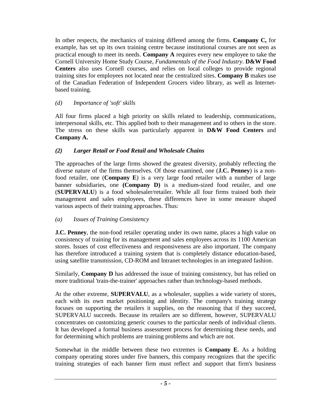<span id="page-8-0"></span>In other respects, the mechanics of training differed among the firms. **Company C,** for example, has set up its own training centre because institutional courses are not seen as practical enough to meet its needs. **Company A** requires every new employee to take the Cornell University Home Study Course, *Fundamentals of the Food Industry*. **D&W Food Centers** also uses Cornell courses, and relies on local colleges to provide regional training sites for employees not located near the centralized sites. **Company B** makes use of the Canadian Federation of Independent Grocers video library, as well as Internetbased training.

#### *(d) Importance of 'soft' skills*

All four firms placed a high priority on skills related to leadership, communications, interpersonal skills, etc. This applied both to their management and to others in the store. The stress on these skills was particularly apparent in **D&W Food Centers** and **Company A.** 

# *(2) Larger Retail or Food Retail and Wholesale Chains*

The approaches of the large firms showed the greatest diversity, probably reflecting the diverse nature of the firms themselves. Of those examined, one (**J.C. Penney**) is a nonfood retailer, one (**Company E**) is a very large food retailer with a number of large banner subsidiaries, one **(Company D)** is a medium-sized food retailer, and one (**SUPERVALU**) is a food wholesaler/retailer. While all four firms trained both their management and sales employees, these differences have in some measure shaped various aspects of their training approaches. Thus:

# *(a) Issues of Training Consistency*

**J.C. Penney**, the non-food retailer operating under its own name, places a high value on consistency of training for its management and sales employees across its 1100 American stores. Issues of cost effectiveness and responsiveness are also important. The company has therefore introduced a training system that is completely distance education-based, using satellite transmission, CD-ROM and Intranet technologies in an integrated fashion.

Similarly, **Company D** has addressed the issue of training consistency, but has relied on more traditional 'train-the-trainer' approaches rather than technology-based methods.

 each with its own market positioning and identity. The company's training strategy focuses on supporting the retailers it supplies, on the reasoning that if they succeed, At the other extreme, **SUPERVALU**, as a wholesaler, supplies a wide variety of stores, SUPERVALU succeeds. Because its retailers are so different, however, SUPERVALU concentrates on customizing generic courses to the particular needs of individual clients. It has developed a formal business assessment process for determining these needs, and for determining which problems are training problems and which are not.

Somewhat in the middle between these two extremes is **Company E**. As a holding company operating stores under five banners, this company recognizes that the specific training strategies of each banner firm must reflect and support that firm's business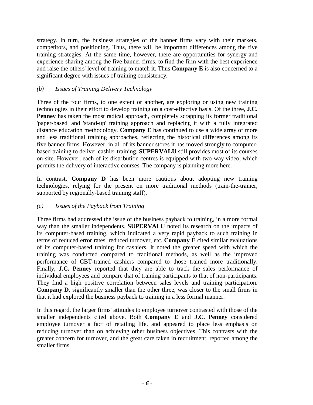experience-sharing among the five banner firms, to find the firm with the best experience significant degree with issues of training consistency. strategy. In turn, the business strategies of the banner firms vary with their markets, competitors, and positioning. Thus, there will be important differences among the five training strategies. At the same time, however, there are opportunities for synergy and and raise the others' level of training to match it. Thus **Company E** is also concerned to a

# *(b) Issues of Training Delivery Technology*

 Three of the four firms, to one extent or another, are exploring or using new training **Penney** has taken the most radical approach, completely scrapping its former traditional technologies in their effort to develop training on a cost-effective basis. Of the three, **J.C.**  'paper-based' and 'stand-up' training approach and replacing it with a fully integrated distance education methodology. **Company E** has continued to use a wide array of more and less traditional training approaches, reflecting the historical differences among its five banner firms. However, in all of its banner stores it has moved strongly to computerbased training to deliver cashier training. **SUPERVALU** still provides most of its courses on-site. However, each of its distribution centres is equipped with two-way video, which permits the delivery of interactive courses. The company is planning more here.

In contrast, **Company D** has been more cautious about adopting new training technologies, relying for the present on more traditional methods (train-the-trainer, supported by regionally-based training staff).

# *(c) Issues of the Payback from Training*

 Finally, **J.C. Penney** reported that they are able to track the sales performance of Three firms had addressed the issue of the business payback to training, in a more formal way than the smaller independents. **SUPERVALU** noted its research on the impacts of its computer-based training, which indicated a very rapid payback to such training in terms of reduced error rates, reduced turnover, etc. **Company E** cited similar evaluations of its computer-based training for cashiers. It noted the greater speed with which the training was conducted compared to traditional methods, as well as the improved performance of CBT-trained cashiers compared to those trained more traditionally. individual employees and compare that of training participants to that of non-participants. They find a high positive correlation between sales levels and training participation. **Company D**, significantly smaller than the other three, was closer to the small firms in that it had explored the business payback to training in a less formal manner.

In this regard, the larger firms' attitudes to employee turnover contrasted with those of the smaller independents cited above. Both **Company E** and **J.C. Penney** considered employee turnover a fact of retailing life, and appeared to place less emphasis on reducing turnover than on achieving other business objectives. This contrasts with the greater concern for turnover, and the great care taken in recruitment, reported among the smaller firms.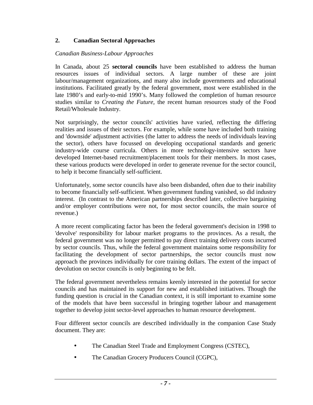## <span id="page-10-0"></span>**2. Canadian Sectoral Approaches**

#### *Canadian Business-Labour Approaches*

Retail/Wholesale Industry. In Canada, about 25 **sectoral councils** have been established to address the human resources issues of individual sectors. A large number of these are joint labour/management organizations, and many also include governments and educational institutions. Facilitated greatly by the federal government, most were established in the late 1980's and early-to-mid 1990's. Many followed the completion of human resource studies similar to *Creating the Future,* the recent human resources study of the Food

 and 'downside' adjustment activities (the latter to address the needs of individuals leaving Not surprisingly, the sector councils' activities have varied, reflecting the differing realities and issues of their sectors. For example, while some have included both training the sector), others have focussed on developing occupational standards and generic industry-wide course curricula. Others in more technology-intensive sectors have developed Internet-based recruitment/placement tools for their members. In most cases, these various products were developed in order to generate revenue for the sector council, to help it become financially self-sufficient.

Unfortunately, some sector councils have also been disbanded, often due to their inability to become financially self-sufficient. When government funding vanished, so did industry interest. (In contrast to the American partnerships described later, collective bargaining and/or employer contributions were not, for most sector councils, the main source of revenue.)

 federal government was no longer permitted to pay direct training delivery costs incurred A more recent complicating factor has been the federal government's decision in 1998 to 'devolve' responsibility for labour market programs to the provinces. As a result, the by sector councils. Thus, while the federal government maintains some responsibility for facilitating the development of sector partnerships, the sector councils must now approach the provinces individually for core training dollars. The extent of the impact of devolution on sector councils is only beginning to be felt.

 The federal government nevertheless remains keenly interested in the potential for sector councils and has maintained its support for new and established initiatives. Though the funding question is crucial in the Canadian context, it is still important to examine some of the models that have been successful in bringing together labour and management together to develop joint sector-level approaches to human resource development.

Four different sector councils are described individually in the companion Case Study document. They are:

- The Canadian Steel Trade and Employment Congress (CSTEC),
- The Canadian Grocery Producers Council (CGPC),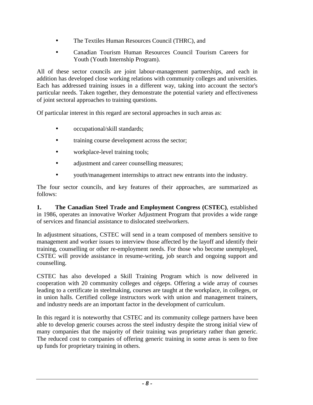- The Textiles Human Resources Council (THRC), and
- Canadian Tourism Human Resources Council Tourism Careers for Youth (Youth Internship Program).

All of these sector councils are joint labour-management partnerships, and each in addition has developed close working relations with community colleges and universities. Each has addressed training issues in a different way, taking into account the sector's particular needs. Taken together, they demonstrate the potential variety and effectiveness of joint sectoral approaches to training questions.

Of particular interest in this regard are sectoral approaches in such areas as:

- occupational/skill standards;
- training course development across the sector;
- workplace-level training tools;
- adjustment and career counselling measures;
- youth/management internships to attract new entrants into the industry.

The four sector councils, and key features of their approaches, are summarized as follows:

**1. The Canadian Steel Trade and Employment Congress (CSTEC)**, established in 1986, operates an innovative Worker Adjustment Program that provides a wide range of services and financial assistance to dislocated steelworkers.

counselling. In adjustment situations, CSTEC will send in a team composed of members sensitive to management and worker issues to interview those affected by the layoff and identify their training, counselling or other re-employment needs. For those who become unemployed, CSTEC will provide assistance in resume-writing, job search and ongoing support and

CSTEC has also developed a Skill Training Program which is now delivered in cooperation with 20 community colleges and cégeps. Offering a wide array of courses leading to a certificate in steelmaking, courses are taught at the workplace, in colleges, or in union halls. Certified college instructors work with union and management trainers, and industry needs are an important factor in the development of curriculum.

 many companies that the majority of their training was proprietary rather than generic. The reduced cost to companies of offering generic training in some areas is seen to free In this regard it is noteworthy that CSTEC and its community college partners have been able to develop generic courses across the steel industry despite the strong initial view of up funds for proprietary training in others.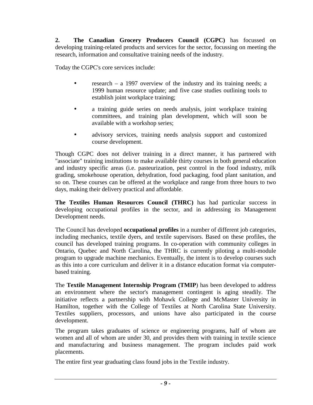research, information and consultative training needs of the industry. Today the CGPC's core services include: **2. The Canadian Grocery Producers Council (CGPC)** has focussed on developing training-related products and services for the sector, focussing on meeting the

- research a 1997 overview of the industry and its training needs; a 1999 human resource update; and five case studies outlining tools to establish joint workplace training;
- a training guide series on needs analysis, joint workplace training committees, and training plan development, which will soon be available with a workshop series;
- advisory services, training needs analysis support and customized course development.

 "associate" training institutions to make available thirty courses in both general education Though CGPC does not deliver training in a direct manner, it has partnered with and industry specific areas (i.e. pasteurization, pest control in the food industry, milk grading, smokehouse operation, dehydration, food packaging, food plant sanitation, and so on. These courses can be offered at the workplace and range from three hours to two days, making their delivery practical and affordable.

**The Textiles Human Resources Council (THRC)** has had particular success in developing occupational profiles in the sector, and in addressing its Management Development needs.

 including mechanics, textile dyers, and textile supervisors. Based on these profiles, the The Council has developed **occupational profiles** in a number of different job categories, council has developed training programs. In co-operation with community colleges in Ontario, Quebec and North Carolina, the THRC is currently piloting a multi-module program to upgrade machine mechanics. Eventually, the intent is to develop courses such as this into a core curriculum and deliver it in a distance education format via computerbased training.

 an environment where the sector's management contingent is aging steadily. The initiative reflects a partnership with Mohawk College and McMaster University in The **Textile Management Internship Program (TMIP**) has been developed to address Hamilton, together with the College of Textiles at North Carolina State University. Textiles suppliers, processors, and unions have also participated in the course development.

The program takes graduates of science or engineering programs, half of whom are women and all of whom are under 30, and provides them with training in textile science and manufacturing and business management. The program includes paid work placements.

The entire first year graduating class found jobs in the Textile industry.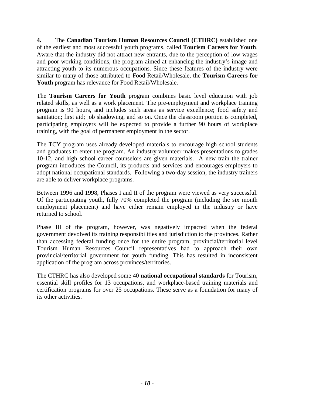**4.** The **Canadian Tourism Human Resources Council (CTHRC)** established one of the earliest and most successful youth programs, called **Tourism Careers for Youth**. Aware that the industry did not attract new entrants, due to the perception of low wages and poor working conditions, the program aimed at enhancing the industry's image and attracting youth to its numerous occupations. Since these features of the industry were similar to many of those attributed to Food Retail/Wholesale, the **Tourism Careers for Youth** program has relevance for Food Retail/Wholesale.

The **Tourism Careers for Youth** program combines basic level education with job related skills, as well as a work placement. The pre-employment and workplace training program is 90 hours, and includes such areas as service excellence; food safety and sanitation; first aid; job shadowing, and so on. Once the classroom portion is completed, participating employers will be expected to provide a further 90 hours of workplace training, with the goal of permanent employment in the sector.

The TCY program uses already developed materials to encourage high school students and graduates to enter the program. An industry volunteer makes presentations to grades 10-12, and high school career counselors are given materials. A new train the trainer program introduces the Council, its products and services and encourages employers to adopt national occupational standards. Following a two-day session, the industry trainers are able to deliver workplace programs.

Between 1996 and 1998, Phases I and II of the program were viewed as very successful. Of the participating youth, fully 70% completed the program (including the six month employment placement) and have either remain employed in the industry or have returned to school.

Phase III of the program, however, was negatively impacted when the federal government devolved its training responsibilities and jurisdiction to the provinces. Rather than accessing federal funding once for the entire program, provincial/territorial level Tourism Human Resources Council representatives had to approach their own provincial/territorial government for youth funding. This has resulted in inconsistent application of the program across provinces/territories.

The CTHRC has also developed some 40 **national occupational standards** for Tourism, essential skill profiles for 13 occupations, and workplace-based training materials and certification programs for over 25 occupations. These serve as a foundation for many of its other activities.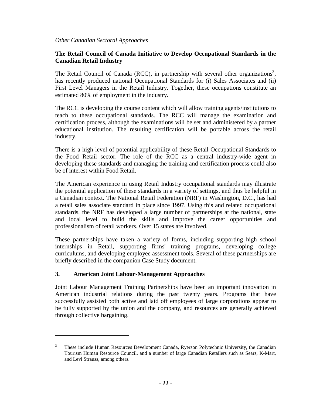#### <span id="page-14-0"></span>**The Retail Council of Canada Initiative to Develop Occupational Standards in the Canadian Retail Industry**

The Retail Council of Canada (RCC), in partnership with several other organizations<sup>3</sup>, has recently produced national Occupational Standards for (i) Sales Associates and (ii) First Level Managers in the Retail Industry. Together, these occupations constitute an estimated 80% of employment in the industry.

industry. The RCC is developing the course content which will allow training agents/institutions to teach to these occupational standards. The RCC will manage the examination and certification process, although the examinations will be set and administered by a partner educational institution. The resulting certification will be portable across the retail

There is a high level of potential applicability of these Retail Occupational Standards to the Food Retail sector. The role of the RCC as a central industry-wide agent in developing these standards and managing the training and certification process could also be of interest within Food Retail.

The American experience in using Retail Industry occupational standards may illustrate the potential application of these standards in a variety of settings, and thus be helpful in a Canadian context. The National Retail Federation (NRF) in Washington, D.C., has had a retail sales associate standard in place since 1997. Using this and related occupational standards, the NRF has developed a large number of partnerships at the national, state and local level to build the skills and improve the career opportunities and professionalism of retail workers. Over 15 states are involved.

 These partnerships have taken a variety of forms, including supporting high school internships in Retail, supporting firms' training programs, developing college curriculums, and developing employee assessment tools. Several of these partnerships are briefly described in the companion Case Study document.

#### **3. American Joint Labour-Management Approaches**

 $\overline{a}$ 

Joint Labour Management Training Partnerships have been an important innovation in American industrial relations during the past twenty years. Programs that have successfully assisted both active and laid off employees of large corporations appear to be fully supported by the union and the company, and resources are generally achieved through collective bargaining.

These include Human Resources Development Canada, Ryerson Polytechnic University, the Canadian Tourism Human Resource Council, and a number of large Canadian Retailers such as Sears, K-Mart, and Levi Strauss, among others. 3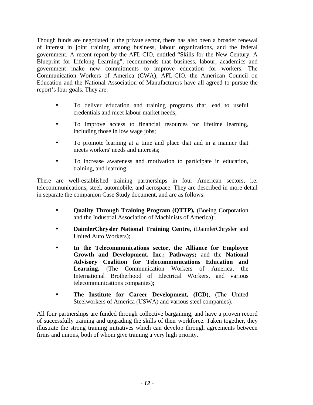Though funds are negotiated in the private sector, there has also been a broader renewal of interest in joint training among business, labour organizations, and the federal government. A recent report by the AFL-CIO, entitled "Skills for the New Century: A Blueprint for Lifelong Learning", recommends that business, labour, academics and government make new commitments to improve education for workers. The Communication Workers of America (CWA), AFL-CIO, the American Council on Education and the National Association of Manufacturers have all agreed to pursue the report's four goals. They are:

- To deliver education and training programs that lead to useful credentials and meet labour market needs;
- To improve access to financial resources for lifetime learning, including those in low wage jobs;
- To promote learning at a time and place that and in a manner that meets workers' needs and interests;
- To increase awareness and motivation to participate in education, training, and learning.

 telecommunications, steel, automobile, and aerospace. They are described in more detail There are well-established training partnerships in four American sectors, i.e. in separate the companion Case Study document, and are as follows:

- **Quality Through Training Program (QTTP),** (Boeing Corporation and the Industrial Association of Machinists of America);
- **DaimlerChrysler National Training Centre,** (DaimlerChrysler and United Auto Workers);
- **In the Telecommunications sector, the Alliance for Employee Growth and Development, Inc.; Pathways;** and the **National Advisory Coalition for Telecommunications Education and Learning.** (The Communication Workers of America, the International Brotherhood of Electrical Workers, and various telecommunications companies);
- **The Institute for Career Development, (ICD)**, (The United Steelworkers of America (USWA) and various steel companies).

All four partnerships are funded through collective bargaining, and have a proven record of successfully training and upgrading the skills of their workforce. Taken together, they illustrate the strong training initiatives which can develop through agreements between firms and unions, both of whom give training a very high priority.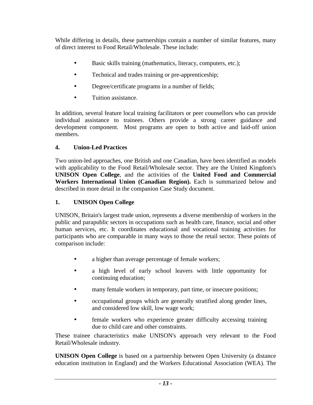<span id="page-16-0"></span> While differing in details, these partnerships contain a number of similar features, many of direct interest to Food Retail/Wholesale. These include:

- Basic skills training (mathematics, literacy, computers, etc.);
- Technical and trades training or pre-apprenticeship;
- Degree/certificate programs in a number of fields;
- Tuition assistance.

In addition, several feature local training facilitators or peer counsellors who can provide individual assistance to trainees. Others provide a strong career guidance and development component. Most programs are open to both active and laid-off union members.

# **4. Union-Led Practices**

Two union-led approaches, one British and one Canadian, have been identified as models with applicability to the Food Retail/Wholesale sector. They are the United Kingdom's **UNISON Open College**, and the activities of the **United Food and Commercial Workers International Union (Canadian Region).** Each is summarized below and described in more detail in the companion Case Study document.

# **1. UNISON Open College**

 participants who are comparable in many ways to those the retail sector. These points of UNISON, Britain's largest trade union, represents a diverse membership of workers in the public and parapublic sectors in occupations such as health care, finance, social and other human services, etc. It coordinates educational and vocational training activities for comparison include:

- a higher than average percentage of female workers;
- a high level of early school leavers with little opportunity for continuing education;
- many female workers in temporary, part time, or insecure positions;
- occupational groups which are generally stratified along gender lines, and considered low skill, low wage work;
- female workers who experience greater difficulty accessing training due to child care and other constraints.

 Retail/Wholesale industry. These trainee characteristics make UNISON's approach very relevant to the Food

 education institution in England) and the Workers Educational Association (WEA). The **UNISON Open College** is based on a partnership between Open University (a distance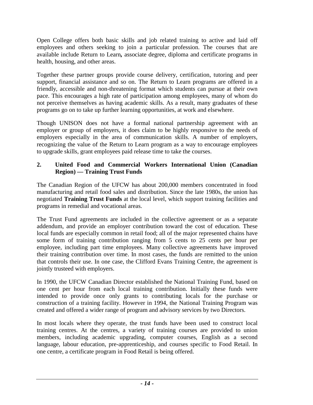Open College offers both basic skills and job related training to active and laid off employees and others seeking to join a particular profession. The courses that are available include Return to Learn*,* associate degree, diploma and certificate programs in health, housing, and other areas.

 pace. This encourages a high rate of participation among employees, many of whom do Together these partner groups provide course delivery, certification, tutoring and peer support, financial assistance and so on. The Return to Learn programs are offered in a friendly, accessible and non-threatening format which students can pursue at their own not perceive themselves as having academic skills. As a result, many graduates of these programs go on to take up further learning opportunities, at work and elsewhere.

 recognizing the value of the Return to Learn program as a way to encourage employees Though UNISON does not have a formal national partnership agreement with an employer or group of employers, it does claim to be highly responsive to the needs of employers especially in the area of communication skills. A number of employers, to upgrade skills, grant employees paid release time to take the courses.

#### **2. United Food and Commercial Workers International Union (Canadian Region) — Training Trust Funds**

The Canadian Region of the UFCW has about 200,000 members concentrated in food manufacturing and retail food sales and distribution. Since the late 1980s, the union has negotiated **Training Trust Funds** at the local level, which support training facilities and programs in remedial and vocational areas.

 employee, including part time employees. Many collective agreements have improved that controls their use. In one case, the Clifford Evans Training Centre, the agreement is The Trust Fund agreements are included in the collective agreement or as a separate addendum, and provide an employer contribution toward the cost of education. These local funds are especially common in retail food; all of the major represented chains have some form of training contribution ranging from 5 cents to 25 cents per hour per their training contribution over time. In most cases, the funds are remitted to the union jointly trusteed with employers.

In 1990, the UFCW Canadian Director established the National Training Fund, based on one cent per hour from each local training contribution. Initially these funds were intended to provide once only grants to contributing locals for the purchase or construction of a training facility. However in 1994, the National Training Program was created and offered a wider range of program and advisory services by two Directors.

In most locals where they operate, the trust funds have been used to construct local training centres. At the centres, a variety of training courses are provided to union members, including academic upgrading, computer courses, English as a second language, labour education, pre-apprenticeship, and courses specific to Food Retail. In one centre, a certificate program in Food Retail is being offered.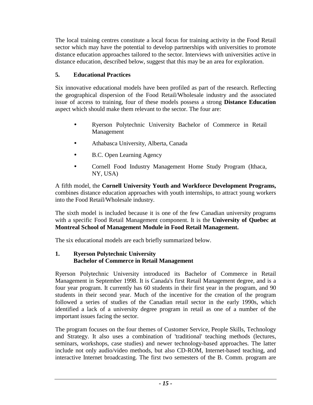<span id="page-18-0"></span>The local training centres constitute a local focus for training activity in the Food Retail sector which may have the potential to develop partnerships with universities to promote distance education approaches tailored to the sector. Interviews with universities active in distance education, described below, suggest that this may be an area for exploration.

# **5. Educational Practices**

Six innovative educational models have been profiled as part of the research. Reflecting the geographical dispersion of the Food Retail/Wholesale industry and the associated issue of access to training, four of these models possess a strong **Distance Education**  aspect which should make them relevant to the sector. The four are:

- Ryerson Polytechnic University Bachelor of Commerce in Retail Management
- Athabasca University, Alberta, Canada
- B.C. Open Learning Agency
- Cornell Food Industry Management Home Study Program (Ithaca, NY, USA)

A fifth model, the **Cornell University Youth and Workforce Development Programs,**  combines distance education approaches with youth internships, to attract young workers into the Food Retail/Wholesale industry.

 The sixth model is included because it is one of the few Canadian university programs with a specific Food Retail Management component. It is the **University of Quebec at Montreal School of Management Module in Food Retail Management.** 

The six educational models are each briefly summarized below.

#### **1. Ryerson Polytechnic University Bachelor of Commerce in Retail Management**

 Ryerson Polytechnic University introduced its Bachelor of Commerce in Retail Management in September 1998. It is Canada's first Retail Management degree, and is a four year program. It currently has 60 students in their first year in the program, and 90 students in their second year. Much of the incentive for the creation of the program followed a series of studies of the Canadian retail sector in the early 1990s, which identified a lack of a university degree program in retail as one of a number of the important issues facing the sector.

The program focuses on the four themes of Customer Service, People Skills, Technology and Strategy. It also uses a combination of 'traditional' teaching methods (lectures, seminars, workshops, case studies) and newer technology-based approaches. The latter include not only audio/video methods, but also CD-ROM, Internet-based teaching, and interactive Internet broadcasting. The first two semesters of the B. Comm. program are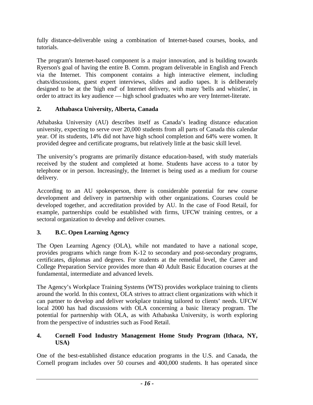fully distance-deliverable using a combination of Internet-based courses, books, and tutorials.

 designed to be at the 'high end' of Internet delivery, with many 'bells and whistles', in The program's Internet-based component is a major innovation, and is building towards Ryerson's goal of having the entire B. Comm. program deliverable in English and French via the Internet. This component contains a high interactive element, including chats/discussions, guest expert interviews, slides and audio tapes. It is deliberately order to attract its key audience — high school graduates who are very Internet-literate.

# **2. Athabasca University, Alberta, Canada**

Athabaska University (AU) describes itself as Canada's leading distance education university, expecting to serve over 20,000 students from all parts of Canada this calendar year. Of its students, 14% did not have high school completion and 64% were women. It provided degree and certificate programs, but relatively little at the basic skill level.

 received by the student and completed at home. Students have access to a tutor by delivery. The university's programs are primarily distance education-based, with study materials telephone or in person. Increasingly, the Internet is being used as a medium for course

According to an AU spokesperson, there is considerable potential for new course development and delivery in partnership with other organizations. Courses could be developed together, and accreditation provided by AU. In the case of Food Retail, for example, partnerships could be established with firms, UFCW training centres, or a sectoral organization to develop and deliver courses.

# **3. B.C. Open Learning Agency**

The Open Learning Agency (OLA), while not mandated to have a national scope, provides programs which range from K-12 to secondary and post-secondary programs, certificates, diplomas and degrees. For students at the remedial level, the Career and College Preparation Service provides more than 40 Adult Basic Education courses at the fundamental, intermediate and advanced levels.

The Agency's Workplace Training Systems (WTS) provides workplace training to clients around the world. In this context, OLA strives to attract client organizations with which it can partner to develop and deliver workplace training tailored to clients' needs. UFCW local 2000 has had discussions with OLA concerning a basic literacy program. The potential for partnership with OLA, as with Athabaska University, is worth exploring from the perspective of industries such as Food Retail.

#### **4. Cornell Food Industry Management Home Study Program (Ithaca, NY, USA)**

One of the best-established distance education programs in the U.S. and Canada, the Cornell program includes over 50 courses and 400,000 students. It has operated since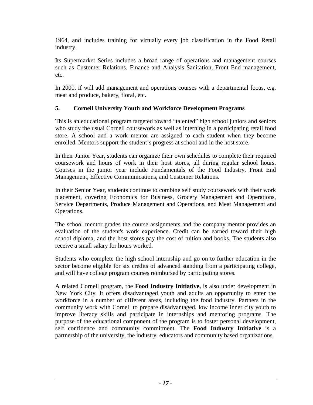1964, and includes training for virtually every job classification in the Food Retail industry.

Its Supermarket Series includes a broad range of operations and management courses such as Customer Relations, Finance and Analysis Sanitation, Front End management, etc.

In 2000, if will add management and operations courses with a departmental focus, e.g. meat and produce, bakery, floral, etc.

# **5. Cornell University Youth and Workforce Development Programs**

This is an educational program targeted toward "talented" high school juniors and seniors who study the usual Cornell coursework as well as interning in a participating retail food store. A school and a work mentor are assigned to each student when they become enrolled. Mentors support the student's progress at school and in the host store.

In their Junior Year, students can organize their own schedules to complete their required coursework and hours of work in their host stores, all during regular school hours. Courses in the junior year include Fundamentals of the Food Industry, Front End Management, Effective Communications, and Customer Relations.

In their Senior Year, students continue to combine self study coursework with their work placement, covering Economics for Business, Grocery Management and Operations, Service Departments, Produce Management and Operations, and Meat Management and Operations.

The school mentor grades the course assignments and the company mentor provides an evaluation of the student's work experience. Credit can be earned toward their high school diploma, and the host stores pay the cost of tuition and books. The students also receive a small salary for hours worked.

 sector become eligible for six credits of advanced standing from a participating college, Students who complete the high school internship and go on to further education in the and will have college program courses reimbursed by participating stores.

A related Cornell program, the **Food Industry Initiative,** is also under development in New York City. It offers disadvantaged youth and adults an opportunity to enter the workforce in a number of different areas, including the food industry. Partners in the community work with Cornell to prepare disadvantaged, low income inner city youth to improve literacy skills and participate in internships and mentoring programs. The purpose of the educational component of the program is to foster personal development, self confidence and community commitment. The **Food Industry Initiative** is a partnership of the university, the industry, educators and community based organizations.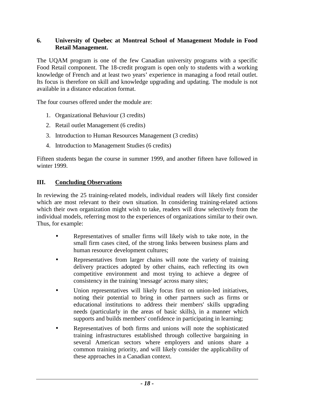#### <span id="page-21-0"></span>**6. University of Quebec at Montreal School of Management Module in Food Retail Management.**

The UQAM program is one of the few Canadian university programs with a specific Food Retail component. The 18-credit program is open only to students with a working knowledge of French and at least two years' experience in managing a food retail outlet. Its focus is therefore on skill and knowledge upgrading and updating. The module is not available in a distance education format.

The four courses offered under the module are:

- 1. Organizational Behaviour (3 credits)
- 2. Retail outlet Management (6 credits)
- 3. Introduction to Human Resources Management (3 credits)
- 4. Introduction to Management Studies (6 credits)

Fifteen students began the course in summer 1999, and another fifteen have followed in winter 1999.

#### **III. Concluding Observations**

 In reviewing the 25 training-related models, individual readers will likely first consider which are most relevant to their own situation. In considering training-related actions which their own organization might wish to take, readers will draw selectively from the individual models, referring most to the experiences of organizations similar to their own. Thus, for example:

- Representatives of smaller firms will likely wish to take note, in the small firm cases cited, of the strong links between business plans and human resource development cultures;
- • Representatives from larger chains will note the variety of training delivery practices adopted by other chains, each reflecting its own competitive environment and most trying to achieve a degree of consistency in the training 'message' across many sites;
- Union representatives will likely focus first on union-led initiatives, noting their potential to bring in other partners such as firms or educational institutions to address their members' skills upgrading needs (particularly in the areas of basic skills), in a manner which supports and builds members' confidence in participating in learning;
- common training priority, and will likely consider the applicability of Representatives of both firms and unions will note the sophisticated training infrastructures established through collective bargaining in several American sectors where employers and unions share a these approaches in a Canadian context.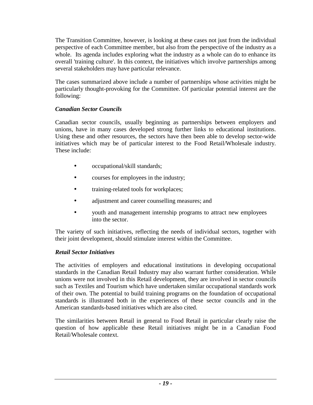overall 'training culture'. In this context, the initiatives which involve partnerships among The Transition Committee, however, is looking at these cases not just from the individual perspective of each Committee member, but also from the perspective of the industry as a whole. Its agenda includes exploring what the industry as a whole can do to enhance its several stakeholders may have particular relevance.

The cases summarized above include a number of partnerships whose activities might be particularly thought-provoking for the Committee. Of particular potential interest are the following:

# *Canadian Sector Councils*

 unions, have in many cases developed strong further links to educational institutions. These include: Canadian sector councils, usually beginning as partnerships between employers and Using these and other resources, the sectors have then been able to develop sector-wide initiatives which may be of particular interest to the Food Retail/Wholesale industry.

- occupational/skill standards;
- courses for employees in the industry;
- training-related tools for workplaces;
- adjustment and career counselling measures; and
- youth and management internship programs to attract new employees into the sector.

 The variety of such initiatives, reflecting the needs of individual sectors, together with their joint development, should stimulate interest within the Committee.

# *Retail Sector Initiatives*

The activities of employers and educational institutions in developing occupational standards in the Canadian Retail Industry may also warrant further consideration. While unions were not involved in this Retail development, they are involved in sector councils such as Textiles and Tourism which have undertaken similar occupational standards work of their own. The potential to build training programs on the foundation of occupational standards is illustrated both in the experiences of these sector councils and in the American standards-based initiatives which are also cited.

The similarities between Retail in general to Food Retail in particular clearly raise the question of how applicable these Retail initiatives might be in a Canadian Food Retail/Wholesale context.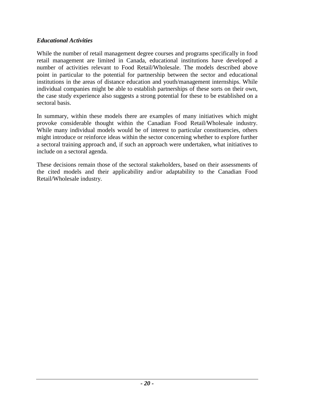#### *Educational Activities*

While the number of retail management degree courses and programs specifically in food retail management are limited in Canada, educational institutions have developed a number of activities relevant to Food Retail/Wholesale. The models described above point in particular to the potential for partnership between the sector and educational institutions in the areas of distance education and youth/management internships. While individual companies might be able to establish partnerships of these sorts on their own, the case study experience also suggests a strong potential for these to be established on a sectoral basis.

In summary, within these models there are examples of many initiatives which might provoke considerable thought within the Canadian Food Retail/Wholesale industry. While many individual models would be of interest to particular constituencies, others might introduce or reinforce ideas within the sector concerning whether to explore further a sectoral training approach and, if such an approach were undertaken, what initiatives to include on a sectoral agenda.

 Retail/Wholesale industry. These decisions remain those of the sectoral stakeholders, based on their assessments of the cited models and their applicability and/or adaptability to the Canadian Food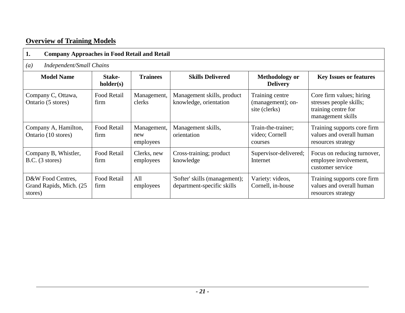# <span id="page-24-0"></span>**Overview of Training Models**

| 1.<br><b>Company Approaches in Food Retail and Retail</b> |                            |                                 |                                                             |                                                       |                                                                                                 |  |  |  |
|-----------------------------------------------------------|----------------------------|---------------------------------|-------------------------------------------------------------|-------------------------------------------------------|-------------------------------------------------------------------------------------------------|--|--|--|
| <b>Independent/Small Chains</b><br>(a)                    |                            |                                 |                                                             |                                                       |                                                                                                 |  |  |  |
| <b>Model Name</b>                                         | Stake-<br>holder(s)        | <b>Trainees</b>                 | <b>Skills Delivered</b>                                     | <b>Methodology or</b><br><b>Delivery</b>              | <b>Key Issues or features</b>                                                                   |  |  |  |
| Company C, Ottawa,<br>Ontario (5 stores)                  | Food Retail<br>firm        | Management,<br>clerks           | Management skills, product<br>knowledge, orientation        | Training centre<br>(management); on-<br>site (clerks) | Core firm values; hiring<br>stresses people skills;<br>training centre for<br>management skills |  |  |  |
| Company A, Hamilton,<br>Ontario (10 stores)               | <b>Food Retail</b><br>firm | Management,<br>new<br>employees | Management skills,<br>orientation                           | Train-the-trainer;<br>video; Cornell<br>courses       | Training supports core firm<br>values and overall human<br>resources strategy                   |  |  |  |
| Company B, Whistler,<br>B.C. (3 stores)                   | <b>Food Retail</b><br>firm | Clerks, new<br>employees        | Cross-training; product<br>knowledge                        | Supervisor-delivered;<br>Internet                     | Focus on reducing turnover,<br>employee involvement,<br>customer service                        |  |  |  |
| D&W Food Centres,<br>Grand Rapids, Mich. (25)<br>stores)  | Food Retail<br>firm        | All<br>employees                | 'Softer' skills (management);<br>department-specific skills | Variety: videos,<br>Cornell, in-house                 | Training supports core firm<br>values and overall human<br>resources strategy                   |  |  |  |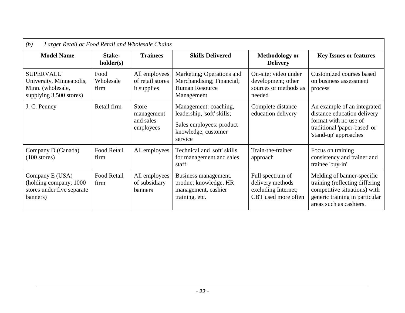| (b)<br>Larger Retail or Food Retail and Wholesale Chains                                     |                           |                                                      |                                                                                                                   |                                                                                    |                                                                                                                                                            |  |
|----------------------------------------------------------------------------------------------|---------------------------|------------------------------------------------------|-------------------------------------------------------------------------------------------------------------------|------------------------------------------------------------------------------------|------------------------------------------------------------------------------------------------------------------------------------------------------------|--|
| <b>Model Name</b>                                                                            | Stake-<br>holder(s)       | <b>Trainees</b>                                      | <b>Skills Delivered</b>                                                                                           | <b>Methodology or</b><br><b>Delivery</b>                                           | <b>Key Issues or features</b>                                                                                                                              |  |
| <b>SUPERVALU</b><br>University, Minneapolis,<br>Minn. (wholesale,<br>supplying 3,500 stores) | Food<br>Wholesale<br>firm | All employees<br>of retail stores<br>it supplies     | Marketing; Operations and<br>Merchandising; Financial;<br><b>Human Resource</b><br>Management                     | On-site; video under<br>development; other<br>sources or methods as<br>needed      | Customized courses based<br>on business assessment<br>process                                                                                              |  |
| J. C. Penney                                                                                 | Retail firm               | <b>Store</b><br>management<br>and sales<br>employees | Management: coaching,<br>leadership, 'soft' skills;<br>Sales employees: product<br>knowledge, customer<br>service | Complete distance<br>education delivery                                            | An example of an integrated<br>distance education delivery<br>format with no use of<br>traditional 'paper-based' or<br>'stand-up' approaches               |  |
| Company D (Canada)<br>$(100$ stores)                                                         | Food Retail<br>firm       | All employees                                        | Technical and 'soft' skills<br>for management and sales<br>staff                                                  | Train-the-trainer<br>approach                                                      | Focus on training<br>consistency and trainer and<br>trainee 'buy-in'                                                                                       |  |
| Company E (USA)<br>(holding company; 1000<br>stores under five separate<br>banners)          | Food Retail<br>firm       | All employees<br>of subsidiary<br>banners            | Business management,<br>product knowledge, HR<br>management, cashier<br>training, etc.                            | Full spectrum of<br>delivery methods<br>excluding Internet;<br>CBT used more often | Melding of banner-specific<br>training (reflecting differing)<br>competitive situations) with<br>generic training in particular<br>areas such as cashiers. |  |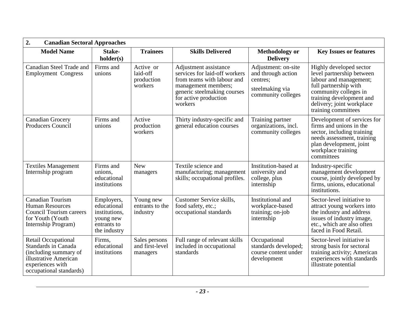| 2.<br><b>Canadian Sectoral Approaches</b>                                                                                                          |                                                                                        |                                                |                                                                                                                                                                                |                                                                                                |                                                                                                                                                                                                                  |  |  |
|----------------------------------------------------------------------------------------------------------------------------------------------------|----------------------------------------------------------------------------------------|------------------------------------------------|--------------------------------------------------------------------------------------------------------------------------------------------------------------------------------|------------------------------------------------------------------------------------------------|------------------------------------------------------------------------------------------------------------------------------------------------------------------------------------------------------------------|--|--|
| <b>Model Name</b>                                                                                                                                  | Stake-<br>holder(s)                                                                    | <b>Trainees</b>                                | <b>Skills Delivered</b>                                                                                                                                                        | <b>Methodology</b> or<br><b>Delivery</b>                                                       | <b>Key Issues or features</b>                                                                                                                                                                                    |  |  |
| <b>Canadian Steel Trade and</b><br><b>Employment Congress</b>                                                                                      | Firms and<br>unions                                                                    | Active or<br>laid-off<br>production<br>workers | Adjustment assistance<br>services for laid-off workers<br>from teams with labour and<br>management members;<br>generic steelmaking courses<br>for active production<br>workers | Adjustment: on-site<br>and through action<br>centres:<br>steelmaking via<br>community colleges | Highly developed sector<br>level partnership between<br>labour and management;<br>full partnership with<br>community colleges in<br>training development and<br>delivery; joint workplace<br>training committees |  |  |
| <b>Canadian Grocery</b><br>Producers Council                                                                                                       | Firms and<br>unions                                                                    | Active<br>production<br>workers                | Thirty industry-specific and<br>general education courses                                                                                                                      | Training partner<br>organizations, incl.<br>community colleges                                 | Development of services for<br>firms and unions in the<br>sector, including training<br>needs assessment, training<br>plan development, joint<br>workplace training<br>committees                                |  |  |
| <b>Textiles Management</b><br>Internship program                                                                                                   | Firms and<br>unions,<br>educational<br>institutions                                    | <b>New</b><br>managers                         | Textile science and<br>manufacturing; management<br>skills; occupational profiles.                                                                                             | Institution-based at<br>university and<br>college, plus<br>internship                          | Industry-specific<br>management development<br>course, jointly developed by<br>firms, unions, educational<br>institutions.                                                                                       |  |  |
| Canadian Tourism<br><b>Human Resources</b><br><b>Council Tourism careers</b><br>for Youth (Youth<br>Internship Program)                            | Employers,<br>educational<br>institutions,<br>young new<br>entrants to<br>the industry | Young new<br>entrants to the<br>industry       | Customer Service skills,<br>food safety, etc.;<br>occupational standards                                                                                                       | Institutional and<br>workplace-based<br>training; on-job<br>internship                         | Sector-level initiative to<br>attract young workers into<br>the industry and address<br>issues of industry image,<br>etc., which are also often<br>faced in Food Retail.                                         |  |  |
| <b>Retail Occupational</b><br>Standards in Canada<br>(including summary of<br>illustrative American<br>experiences with<br>occupational standards) | Firms,<br>educational<br>institutions                                                  | Sales persons<br>and first-level<br>managers   | Full range of relevant skills<br>included in occupational<br>standards                                                                                                         | Occupational<br>standards developed;<br>course content under<br>development                    | Sector-level initiative is<br>strong basis for sectoral<br>training activity; American<br>experiences with standards<br>illustrate potential                                                                     |  |  |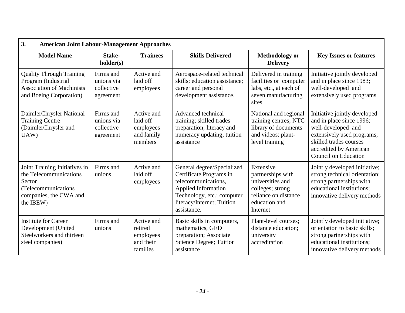| 3.<br><b>American Joint Labour-Management Approaches</b>                                                                         |                                                    |                                                              |                                                                                                                                                                                |                                                                                                                             |                                                                                                                                                                                                 |  |  |
|----------------------------------------------------------------------------------------------------------------------------------|----------------------------------------------------|--------------------------------------------------------------|--------------------------------------------------------------------------------------------------------------------------------------------------------------------------------|-----------------------------------------------------------------------------------------------------------------------------|-------------------------------------------------------------------------------------------------------------------------------------------------------------------------------------------------|--|--|
| <b>Model Name</b>                                                                                                                | Stake-<br>holder(s)                                | <b>Trainees</b>                                              | <b>Skills Delivered</b>                                                                                                                                                        | <b>Methodology or</b><br><b>Delivery</b>                                                                                    | <b>Key Issues or features</b>                                                                                                                                                                   |  |  |
| <b>Quality Through Training</b><br>Program (Industrial<br><b>Association of Machinists</b><br>and Boeing Corporation)            | Firms and<br>unions via<br>collective<br>agreement | Active and<br>laid off<br>employees                          | Aerospace-related technical<br>skills; education assistance;<br>career and personal<br>development assistance.                                                                 | Delivered in training<br>facilities or computer<br>labs, etc., at each of<br>seven manufacturing<br>sites                   | Initiative jointly developed<br>and in place since 1983;<br>well-developed and<br>extensively used programs                                                                                     |  |  |
| DaimlerChrysler National<br><b>Training Centre</b><br>(DaimlerChrysler and<br>UAW)                                               | Firms and<br>unions via<br>collective<br>agreement | Active and<br>laid off<br>employees<br>and family<br>members | Advanced technical<br>training; skilled trades<br>preparation; literacy and<br>numeracy updating; tuition<br>assistance                                                        | National and regional<br>training centres; NTC<br>library of documents<br>and videos; plant-<br>level training              | Initiative jointly developed<br>and in place since 1996;<br>well-developed and<br>extensively used programs;<br>skilled trades courses<br>accredited by American<br><b>Council on Education</b> |  |  |
| Joint Training Initiatives in<br>the Telecommunications<br>Sector<br>(Telecommunications)<br>companies, the CWA and<br>the IBEW) | Firms and<br>unions                                | Active and<br>laid off<br>employees                          | General degree/Specialized<br>Certificate Programs in<br>telecommunications.<br>Applied Information<br>Technology, etc.; computer<br>literacy/Internet; Tuition<br>assistance. | Extensive<br>partnerships with<br>universities and<br>colleges; strong<br>reliance on distance<br>education and<br>Internet | Jointly developed initiative;<br>strong technical orientation;<br>strong partnerships with<br>educational institutions:<br>innovative delivery methods                                          |  |  |
| <b>Institute for Career</b><br>Development (United<br>Steelworkers and thirteen<br>steel companies)                              | Firms and<br>unions                                | Active and<br>retired<br>employees<br>and their<br>families  | Basic skills in computers,<br>mathematics, GED<br>preparation; Associate<br>Science Degree; Tuition<br>assistance                                                              | Plant-level courses;<br>distance education;<br>university<br>accreditation                                                  | Jointly developed initiative;<br>orientation to basic skills;<br>strong partnerships with<br>educational institutions;<br>innovative delivery methods                                           |  |  |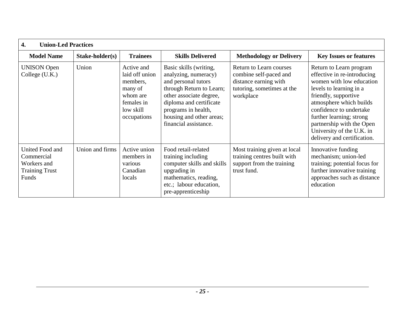| $\overline{4}$ .<br><b>Union-Led Practices</b>                                 |                 |                                                                                                           |                                                                                                                                                                                                                                     |                                                                                                                              |                                                                                                                                                                                                                                                                                                                  |  |  |
|--------------------------------------------------------------------------------|-----------------|-----------------------------------------------------------------------------------------------------------|-------------------------------------------------------------------------------------------------------------------------------------------------------------------------------------------------------------------------------------|------------------------------------------------------------------------------------------------------------------------------|------------------------------------------------------------------------------------------------------------------------------------------------------------------------------------------------------------------------------------------------------------------------------------------------------------------|--|--|
| <b>Model Name</b>                                                              | Stake-holder(s) | <b>Trainees</b>                                                                                           | <b>Skills Delivered</b>                                                                                                                                                                                                             | <b>Methodology or Delivery</b>                                                                                               | <b>Key Issues or features</b>                                                                                                                                                                                                                                                                                    |  |  |
| <b>UNISON</b> Open<br>College (U.K.)                                           | Union           | Active and<br>laid off union<br>members,<br>many of<br>whom are<br>females in<br>low skill<br>occupations | Basic skills (writing,<br>analyzing, numeracy)<br>and personal tutors<br>through Return to Learn;<br>other associate degree,<br>diploma and certificate<br>programs in health,<br>housing and other areas;<br>financial assistance. | <b>Return to Learn courses</b><br>combine self-paced and<br>distance earning with<br>tutoring, sometimes at the<br>workplace | Return to Learn program<br>effective in re-introducing<br>women with low education<br>levels to learning in a<br>friendly, supportive<br>atmosphere which builds<br>confidence to undertake<br>further learning; strong<br>partnership with the Open<br>University of the U.K. in<br>delivery and certification. |  |  |
| United Food and<br>Commercial<br>Workers and<br><b>Training Trust</b><br>Funds | Union and firms | Active union<br>members in<br>various<br>Canadian<br>locals                                               | Food retail-related<br>training including<br>computer skills and skills<br>upgrading in<br>mathematics, reading,<br>etc.; labour education,<br>pre-apprenticeship                                                                   | Most training given at local<br>training centres built with<br>support from the training<br>trust fund.                      | Innovative funding<br>mechanism; union-led<br>training; potential focus for<br>further innovative training<br>approaches such as distance<br>education                                                                                                                                                           |  |  |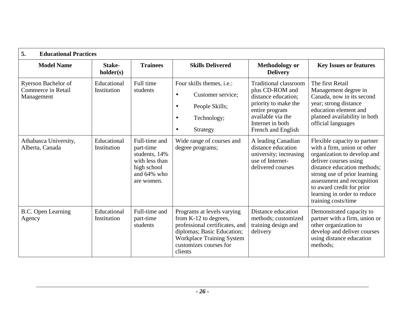| 5.<br><b>Educational Practices</b>                      |                            |                                                                                                              |                                                                                                                                                                                              |                                                                                                                                                                                 |                                                                                                                                                                                                                                                                                                     |
|---------------------------------------------------------|----------------------------|--------------------------------------------------------------------------------------------------------------|----------------------------------------------------------------------------------------------------------------------------------------------------------------------------------------------|---------------------------------------------------------------------------------------------------------------------------------------------------------------------------------|-----------------------------------------------------------------------------------------------------------------------------------------------------------------------------------------------------------------------------------------------------------------------------------------------------|
| <b>Model Name</b>                                       | Stake-<br>holder(s)        | <b>Trainees</b>                                                                                              | <b>Skills Delivered</b>                                                                                                                                                                      | <b>Methodology or</b><br><b>Delivery</b>                                                                                                                                        | <b>Key Issues or features</b>                                                                                                                                                                                                                                                                       |
| Ryerson Bachelor of<br>Commerce in Retail<br>Management | Educational<br>Institution | Full time<br>students                                                                                        | Four skills themes, i.e.:<br>Customer service;<br>$\bullet$<br>People Skills;<br>$\bullet$<br>Technology;<br>$\bullet$<br>Strategy<br>$\bullet$                                              | <b>Traditional classroom</b><br>plus CD-ROM and<br>distance education;<br>priority to make the<br>entire program<br>available via the<br>Internet in both<br>French and English | The first Retail<br>Management degree in<br>Canada, now in its second<br>year; strong distance<br>education element and<br>planned availability in both<br>official languages                                                                                                                       |
| Athabasca University,<br>Alberta, Canada                | Educational<br>Institution | Full-time and<br>part-time<br>students, 14%<br>with less than<br>high school<br>and $64\%$ who<br>are women. | Wide range of courses and<br>degree programs;                                                                                                                                                | A leading Canadian<br>distance education<br>university; increasing<br>use of Internet-<br>delivered courses                                                                     | Flexible capacity to partner<br>with a firm, union or other<br>organization to develop and<br>deliver courses using<br>distance education methods;<br>strong use of prior learning<br>assessment and recognition<br>to award credit for prior<br>learning in order to reduce<br>training costs/time |
| B.C. Open Learning<br>Agency                            | Educational<br>Institution | Full-time and<br>part-time<br>students                                                                       | Programs at levels varying<br>from K-12 to degrees,<br>professional certificates, and<br>diplomas; Basic Education;<br><b>Workplace Training System</b><br>customizes courses for<br>clients | Distance education<br>methods; customized<br>training design and<br>delivery                                                                                                    | Demonstrated capacity to<br>partner with a firm, union or<br>other organization to<br>develop and deliver courses<br>using distance education<br>methods;                                                                                                                                           |